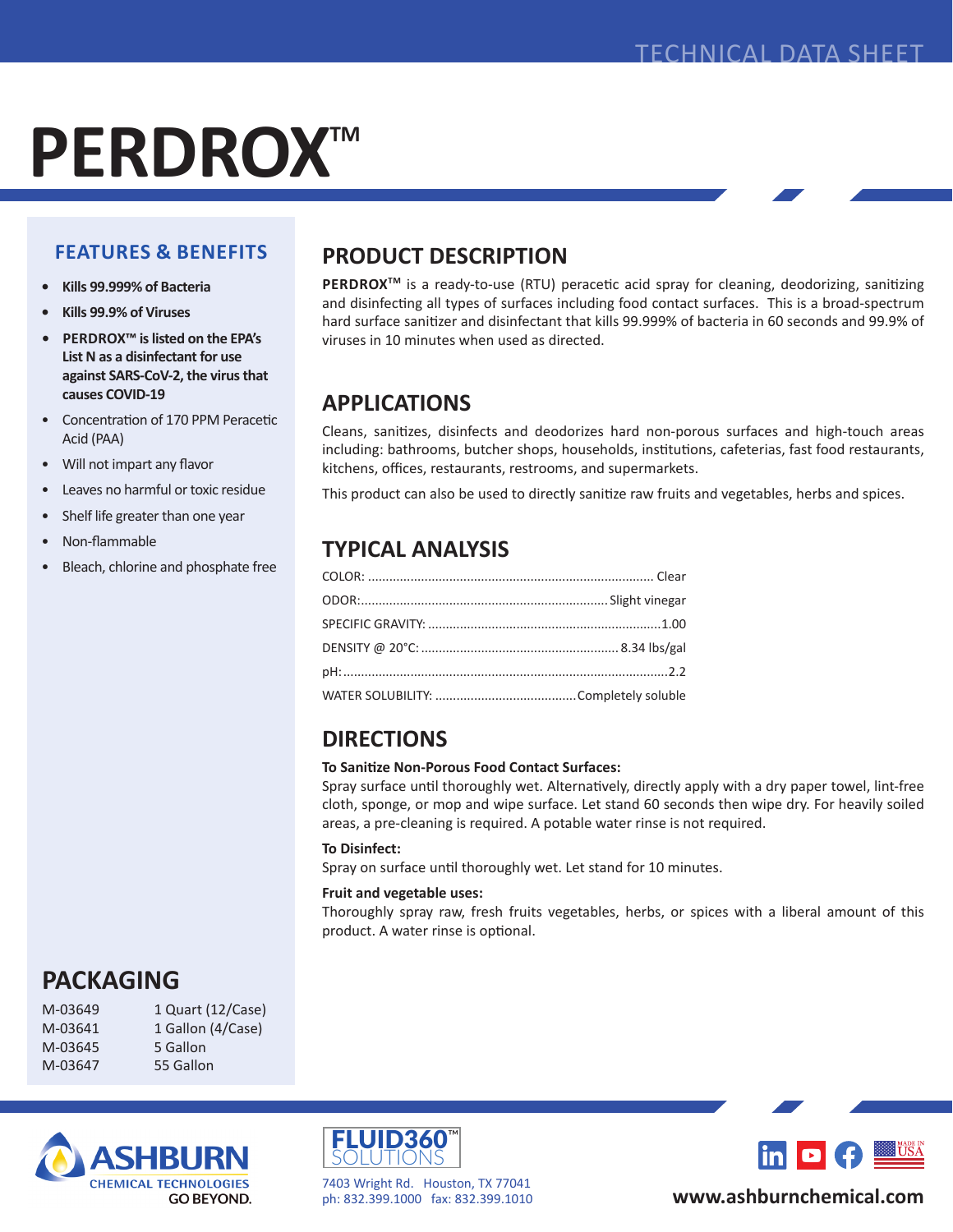# **PERDROX™**

## **FEATURES & BENEFITS**

- **• Kills 99.999% of Bacteria**
- **• Kills 99.9% of Viruses**
- **• PERDROX™ is listed on the EPA's List N as a disinfectant for use against SARS-CoV-2, the virus that causes COVID-19**
- Concentration of 170 PPM Peracetic Acid (PAA)
- Will not impart any flavor
- Leaves no harmful or toxic residue
- Shelf life greater than one year
- Non-flammable
- Bleach, chlorine and phosphate free

## **PRODUCT DESCRIPTION**

PERDROX<sup>™</sup> is a ready-to-use (RTU) peracetic acid spray for cleaning, deodorizing, sanitizing and disinfecting all types of surfaces including food contact surfaces. This is a broad-spectrum hard surface sanitizer and disinfectant that kills 99.999% of bacteria in 60 seconds and 99.9% of viruses in 10 minutes when used as directed.

## **APPLICATIONS**

Cleans, sanitizes, disinfects and deodorizes hard non-porous surfaces and high-touch areas including: bathrooms, butcher shops, households, institutions, cafeterias, fast food restaurants, kitchens, offices, restaurants, restrooms, and supermarkets.

This product can also be used to directly sanitize raw fruits and vegetables, herbs and spices.

## **TYPICAL ANALYSIS**

# **DIRECTIONS**

#### **To Sanitize Non-Porous Food Contact Surfaces:**

Spray surface until thoroughly wet. Alternatively, directly apply with a dry paper towel, lint-free cloth, sponge, or mop and wipe surface. Let stand 60 seconds then wipe dry. For heavily soiled areas, a pre-cleaning is required. A potable water rinse is not required.

#### **To Disinfect:**

Spray on surface until thoroughly wet. Let stand for 10 minutes.

#### **Fruit and vegetable uses:**

Thoroughly spray raw, fresh fruits vegetables, herbs, or spices with a liberal amount of this product. A water rinse is optional.

# **PACKAGING**

M-03649 1 Quart (12/Case) M-03641 1 Gallon (4/Case) M-03645 5 Gallon M-03647 55 Gallon





7403 Wright Rd. Houston, TX 77041 ph: 832.399.1000 fax: 832.399.1010



**www.ashburnchemical.com**